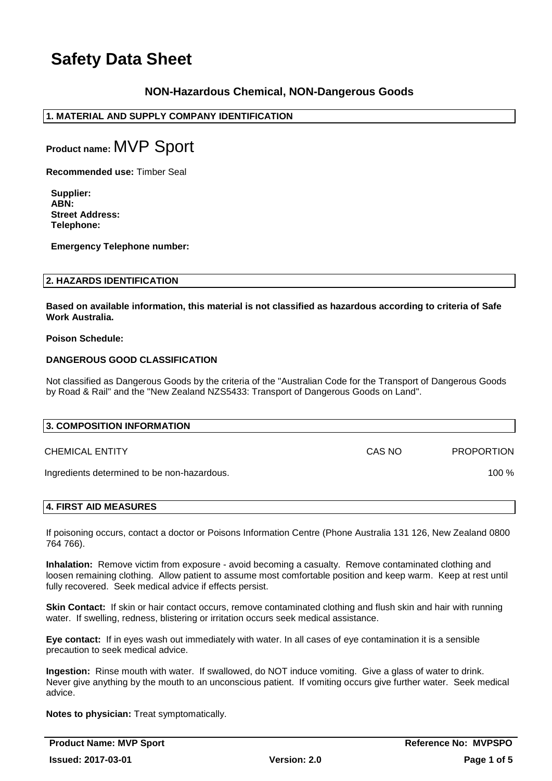## **NON-Hazardous Chemical, NON-Dangerous Goods**

## **1. MATERIAL AND SUPPLY COMPANY IDENTIFICATION**

**Product name:** MVP Sport

**Recommended use:** Timber Seal

**Supplier: ABN: Street Address: Telephone:**

**Emergency Telephone number:**

## **2. HAZARDS IDENTIFICATION**

**Based on available information, this material is not classified as hazardous according to criteria of Safe Work Australia.**

#### **Poison Schedule:**

### **DANGEROUS GOOD CLASSIFICATION**

Not classified as Dangerous Goods by the criteria of the "Australian Code for the Transport of Dangerous Goods by Road & Rail" and the "New Zealand NZS5433: Transport of Dangerous Goods on Land".

| 3. COMPOSITION INFORMATION                  |        |                   |
|---------------------------------------------|--------|-------------------|
| CHEMICAL ENTITY                             | CAS NO | <b>PROPORTION</b> |
| Ingredients determined to be non-hazardous. |        | 100 $%$           |
|                                             |        |                   |

## **4. FIRST AID MEASURES**

If poisoning occurs, contact a doctor or Poisons Information Centre (Phone Australia 131 126, New Zealand 0800 764 766).

**Inhalation:** Remove victim from exposure - avoid becoming a casualty. Remove contaminated clothing and loosen remaining clothing. Allow patient to assume most comfortable position and keep warm. Keep at rest until fully recovered. Seek medical advice if effects persist.

**Skin Contact:** If skin or hair contact occurs, remove contaminated clothing and flush skin and hair with running water. If swelling, redness, blistering or irritation occurs seek medical assistance.

**Eye contact:** If in eyes wash out immediately with water. In all cases of eye contamination it is a sensible precaution to seek medical advice.

**Ingestion:** Rinse mouth with water. If swallowed, do NOT induce vomiting. Give a glass of water to drink. Never give anything by the mouth to an unconscious patient. If vomiting occurs give further water. Seek medical advice.

**Notes to physician:** Treat symptomatically.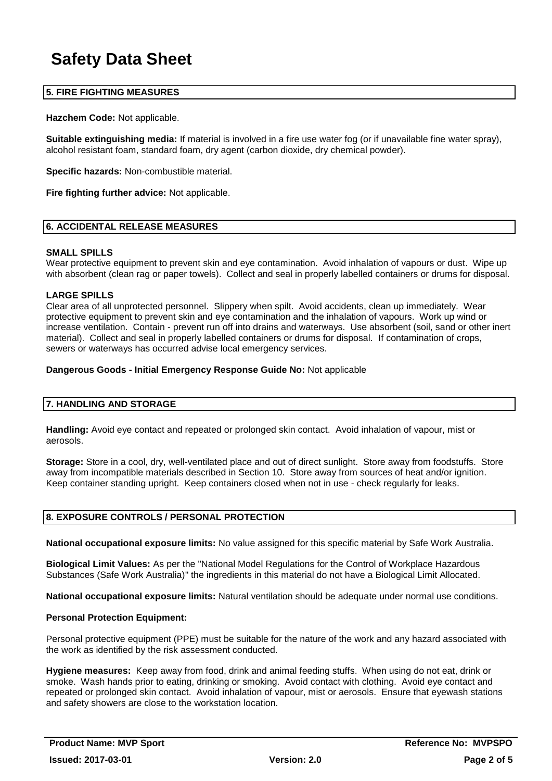## **5. FIRE FIGHTING MEASURES**

**Hazchem Code:** Not applicable.

**Suitable extinguishing media:** If material is involved in a fire use water fog (or if unavailable fine water spray), alcohol resistant foam, standard foam, dry agent (carbon dioxide, dry chemical powder).

**Specific hazards:** Non-combustible material.

**Fire fighting further advice:** Not applicable.

### **6. ACCIDENTAL RELEASE MEASURES**

#### **SMALL SPILLS**

Wear protective equipment to prevent skin and eve contamination. Avoid inhalation of vapours or dust. Wipe up with absorbent (clean rag or paper towels). Collect and seal in properly labelled containers or drums for disposal.

#### **LARGE SPILLS**

Clear area of all unprotected personnel. Slippery when spilt. Avoid accidents, clean up immediately. Wear protective equipment to prevent skin and eye contamination and the inhalation of vapours. Work up wind or increase ventilation. Contain - prevent run off into drains and waterways. Use absorbent (soil, sand or other inert material). Collect and seal in properly labelled containers or drums for disposal. If contamination of crops, sewers or waterways has occurred advise local emergency services.

#### **Dangerous Goods - Initial Emergency Response Guide No:** Not applicable

## **7. HANDLING AND STORAGE**

**Handling:** Avoid eye contact and repeated or prolonged skin contact. Avoid inhalation of vapour, mist or aerosols.

**Storage:** Store in a cool, dry, well-ventilated place and out of direct sunlight. Store away from foodstuffs. Store away from incompatible materials described in Section 10. Store away from sources of heat and/or ignition. Keep container standing upright. Keep containers closed when not in use - check regularly for leaks.

## **8. EXPOSURE CONTROLS / PERSONAL PROTECTION**

**National occupational exposure limits:** No value assigned for this specific material by Safe Work Australia.

**Biological Limit Values:** As per the "National Model Regulations for the Control of Workplace Hazardous Substances (Safe Work Australia)" the ingredients in this material do not have a Biological Limit Allocated.

**National occupational exposure limits:** Natural ventilation should be adequate under normal use conditions.

#### **Personal Protection Equipment:**

Personal protective equipment (PPE) must be suitable for the nature of the work and any hazard associated with the work as identified by the risk assessment conducted.

**Hygiene measures:** Keep away from food, drink and animal feeding stuffs. When using do not eat, drink or smoke. Wash hands prior to eating, drinking or smoking. Avoid contact with clothing. Avoid eye contact and repeated or prolonged skin contact. Avoid inhalation of vapour, mist or aerosols. Ensure that eyewash stations and safety showers are close to the workstation location.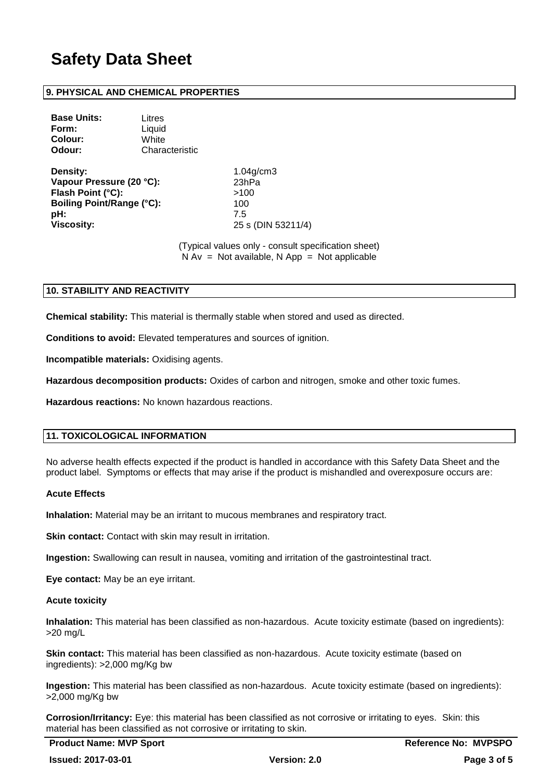## **9. PHYSICAL AND CHEMICAL PROPERTIES**

| <b>Base Units:</b> | Litres         |
|--------------------|----------------|
| Form:              | Liquid         |
| <b>Colour:</b>     | White          |
| Odour:             | Characteristic |
|                    |                |

**Density:** 1.04g/cm3 **Vapour Pressure (20 °C):** 23hPa **Flash Point (°C):** >100 **Boiling Point/Range (°C):** 100 **pH:** 7.5 **Viscosity:** 25 s (DIN 53211/4)

(Typical values only - consult specification sheet)  $N Av = Not available, N App = Not applicable$ 

## **10. STABILITY AND REACTIVITY**

**Chemical stability:** This material is thermally stable when stored and used as directed.

**Conditions to avoid:** Elevated temperatures and sources of ignition.

**Incompatible materials:** Oxidising agents.

**Hazardous decomposition products:** Oxides of carbon and nitrogen, smoke and other toxic fumes.

**Hazardous reactions:** No known hazardous reactions.

## **11. TOXICOLOGICAL INFORMATION**

No adverse health effects expected if the product is handled in accordance with this Safety Data Sheet and the product label. Symptoms or effects that may arise if the product is mishandled and overexposure occurs are:

#### **Acute Effects**

**Inhalation:** Material may be an irritant to mucous membranes and respiratory tract.

**Skin contact:** Contact with skin may result in irritation.

**Ingestion:** Swallowing can result in nausea, vomiting and irritation of the gastrointestinal tract.

**Eye contact:** May be an eye irritant.

#### **Acute toxicity**

**Inhalation:** This material has been classified as non-hazardous. Acute toxicity estimate (based on ingredients): >20 mg/L

**Skin contact:** This material has been classified as non-hazardous. Acute toxicity estimate (based on ingredients): >2,000 mg/Kg bw

**Ingestion:** This material has been classified as non-hazardous. Acute toxicity estimate (based on ingredients): >2,000 mg/Kg bw

**Corrosion/Irritancy:** Eye: this material has been classified as not corrosive or irritating to eyes. Skin: this material has been classified as not corrosive or irritating to skin.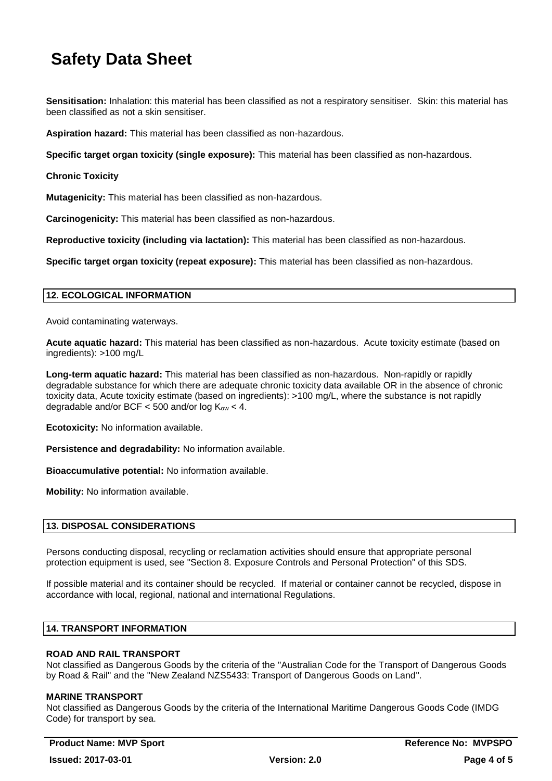**Sensitisation:** Inhalation: this material has been classified as not a respiratory sensitiser. Skin: this material has been classified as not a skin sensitiser.

**Aspiration hazard:** This material has been classified as non-hazardous.

**Specific target organ toxicity (single exposure):** This material has been classified as non-hazardous.

**Chronic Toxicity**

**Mutagenicity:** This material has been classified as non-hazardous.

**Carcinogenicity:** This material has been classified as non-hazardous.

**Reproductive toxicity (including via lactation):** This material has been classified as non-hazardous.

**Specific target organ toxicity (repeat exposure):** This material has been classified as non-hazardous.

#### **12. ECOLOGICAL INFORMATION**

Avoid contaminating waterways.

**Acute aquatic hazard:** This material has been classified as non-hazardous. Acute toxicity estimate (based on ingredients): >100 mg/L

**Long-term aquatic hazard:** This material has been classified as non-hazardous. Non-rapidly or rapidly degradable substance for which there are adequate chronic toxicity data available OR in the absence of chronic toxicity data, Acute toxicity estimate (based on ingredients): >100 mg/L, where the substance is not rapidly degradable and/or BCF  $<$  500 and/or log  $K_{ow}$   $<$  4.

**Ecotoxicity:** No information available.

**Persistence and degradability:** No information available.

**Bioaccumulative potential:** No information available.

**Mobility:** No information available.

## **13. DISPOSAL CONSIDERATIONS**

Persons conducting disposal, recycling or reclamation activities should ensure that appropriate personal protection equipment is used, see "Section 8. Exposure Controls and Personal Protection" of this SDS.

If possible material and its container should be recycled. If material or container cannot be recycled, dispose in accordance with local, regional, national and international Regulations.

#### **14. TRANSPORT INFORMATION**

## **ROAD AND RAIL TRANSPORT**

Not classified as Dangerous Goods by the criteria of the "Australian Code for the Transport of Dangerous Goods by Road & Rail" and the "New Zealand NZS5433: Transport of Dangerous Goods on Land".

#### **MARINE TRANSPORT**

Not classified as Dangerous Goods by the criteria of the International Maritime Dangerous Goods Code (IMDG Code) for transport by sea.